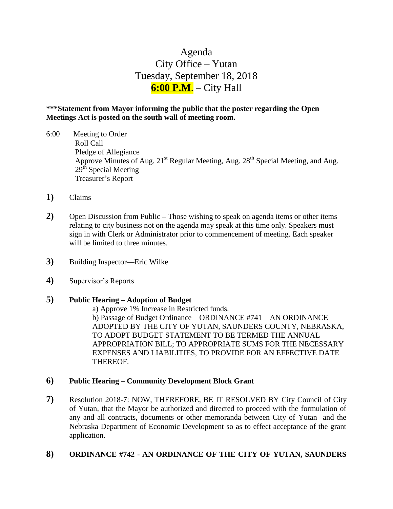# Agenda City Office – Yutan Tuesday, September 18, 2018 **6:00 P.M**. – City Hall

## **\*\*\*Statement from Mayor informing the public that the poster regarding the Open Meetings Act is posted on the south wall of meeting room.**

- 6:00 Meeting to Order Roll Call Pledge of Allegiance Approve Minutes of Aug. 21<sup>st</sup> Regular Meeting, Aug. 28<sup>th</sup> Special Meeting, and Aug.  $29<sup>th</sup>$  Special Meeting Treasurer's Report
- **1)** Claims
- **2)** Open Discussion from Public **–** Those wishing to speak on agenda items or other items relating to city business not on the agenda may speak at this time only. Speakers must sign in with Clerk or Administrator prior to commencement of meeting. Each speaker will be limited to three minutes.
- **3)** Building Inspector—Eric Wilke
- **4)** Supervisor's Reports
- **5) Public Hearing – Adoption of Budget** 
	- a) Approve 1% Increase in Restricted funds.

b) Passage of Budget Ordinance – ORDINANCE #741 – AN ORDINANCE ADOPTED BY THE CITY OF YUTAN, SAUNDERS COUNTY, NEBRASKA, TO ADOPT BUDGET STATEMENT TO BE TERMED THE ANNUAL APPROPRIATION BILL; TO APPROPRIATE SUMS FOR THE NECESSARY EXPENSES AND LIABILITIES, TO PROVIDE FOR AN EFFECTIVE DATE THEREOF.

## **6) Public Hearing – Community Development Block Grant**

**7)** Resolution 2018-7: NOW, THEREFORE, BE IT RESOLVED BY City Council of City of Yutan, that the Mayor be authorized and directed to proceed with the formulation of any and all contracts, documents or other memoranda between City of Yutan and the Nebraska Department of Economic Development so as to effect acceptance of the grant application.

## **8) ORDINANCE #742** - **AN ORDINANCE OF THE CITY OF YUTAN, SAUNDERS**